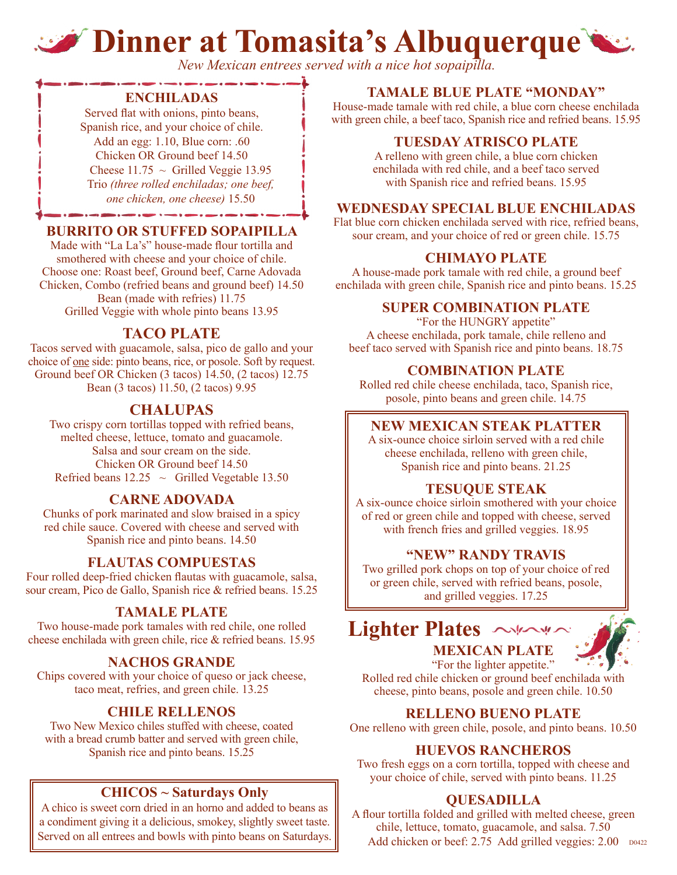# **Dinner at Tomasita's Albuquerque**

*New Mexican entrees served with a nice hot sopaipilla.*

#### **ENCHILADAS**

Served flat with onions, pinto beans, Spanish rice, and your choice of chile. Add an egg: 1.10, Blue corn: .60 Chicken OR Ground beef 14.50 Cheese  $11.75 \sim$  Grilled Veggie 13.95 Trio *(three rolled enchiladas; one beef, one chicken, one cheese)* 15.50

### **BURRITO OR STUFFED SOPAIPILLA**

Made with "La La's" house-made flour tortilla and smothered with cheese and your choice of chile. Choose one: Roast beef, Ground beef, Carne Adovada Chicken, Combo (refried beans and ground beef) 14.50 Bean (made with refries) 11.75 Grilled Veggie with whole pinto beans 13.95

# **TACO PLATE**

Tacos served with guacamole, salsa, pico de gallo and your choice of one side: pinto beans, rice, or posole. Soft by request. Ground beef OR Chicken (3 tacos) 14.50, (2 tacos) 12.75 Bean (3 tacos) 11.50, (2 tacos) 9.95

# **CHALUPAS**

Two crispy corn tortillas topped with refried beans, melted cheese, lettuce, tomato and guacamole. Salsa and sour cream on the side. Chicken OR Ground beef 14.50 Refried beans  $12.25 \sim$  Grilled Vegetable 13.50

### **CARNE ADOVADA**

Chunks of pork marinated and slow braised in a spicy red chile sauce. Covered with cheese and served with Spanish rice and pinto beans. 14.50

### **FLAUTAS COMPUESTAS**

Four rolled deep-fried chicken flautas with guacamole, salsa, sour cream, Pico de Gallo, Spanish rice & refried beans. 15.25

#### **TAMALE PLATE**

Two house-made pork tamales with red chile, one rolled cheese enchilada with green chile, rice & refried beans. 15.95

### **NACHOS GRANDE**

Chips covered with your choice of queso or jack cheese, taco meat, refries, and green chile. 13.25

### **CHILE RELLENOS**

Two New Mexico chiles stuffed with cheese, coated with a bread crumb batter and served with green chile, Spanish rice and pinto beans. 15.25

### **CHICOS ~ Saturdays Only**

A chico is sweet corn dried in an horno and added to beans as a condiment giving it a delicious, smokey, slightly sweet taste.

### **TAMALE BLUE PLATE "MONDAY"**

House-made tamale with red chile, a blue corn cheese enchilada with green chile, a beef taco, Spanish rice and refried beans. 15.95

### **TUESDAY ATRISCO PLATE**

A relleno with green chile, a blue corn chicken enchilada with red chile, and a beef taco served with Spanish rice and refried beans. 15.95

#### **WEDNESDAY SPECIAL BLUE ENCHILADAS**

Flat blue corn chicken enchilada served with rice, refried beans, sour cream, and your choice of red or green chile. 15.75

### **CHIMAYO PLATE**

A house-made pork tamale with red chile, a ground beef enchilada with green chile, Spanish rice and pinto beans. 15.25

#### **SUPER COMBINATION PLATE**

"For the HUNGRY appetite" A cheese enchilada, pork tamale, chile relleno and beef taco served with Spanish rice and pinto beans. 18.75

#### **COMBINATION PLATE**

Rolled red chile cheese enchilada, taco, Spanish rice, posole, pinto beans and green chile. 14.75

#### **NEW MEXICAN STEAK PLATTER**

A six-ounce choice sirloin served with a red chile cheese enchilada, relleno with green chile, Spanish rice and pinto beans. 21.25

#### **TESUQUE STEAK**

A six-ounce choice sirloin smothered with your choice of red or green chile and topped with cheese, served with french fries and grilled veggies. 18.95

#### **"NEW" RANDY TRAVIS**

Two grilled pork chops on top of your choice of red or green chile, served with refried beans, posole, and grilled veggies. 17.25





"For the lighter appetite." Rolled red chile chicken or ground beef enchilada with cheese, pinto beans, posole and green chile. 10.50

#### **RELLENO BUENO PLATE**

One relleno with green chile, posole, and pinto beans. 10.50

#### **HUEVOS RANCHEROS**

Two fresh eggs on a corn tortilla, topped with cheese and your choice of chile, served with pinto beans. 11.25

### **QUESADILLA**

A flour tortilla folded and grilled with melted cheese, green chile, lettuce, tomato, guacamole, and salsa. 7.50 Served on all entrees and bowls with pinto beans on Saturdays. Add chicken or beef: 2.75 Add grilled veggies: 2.00 D0422